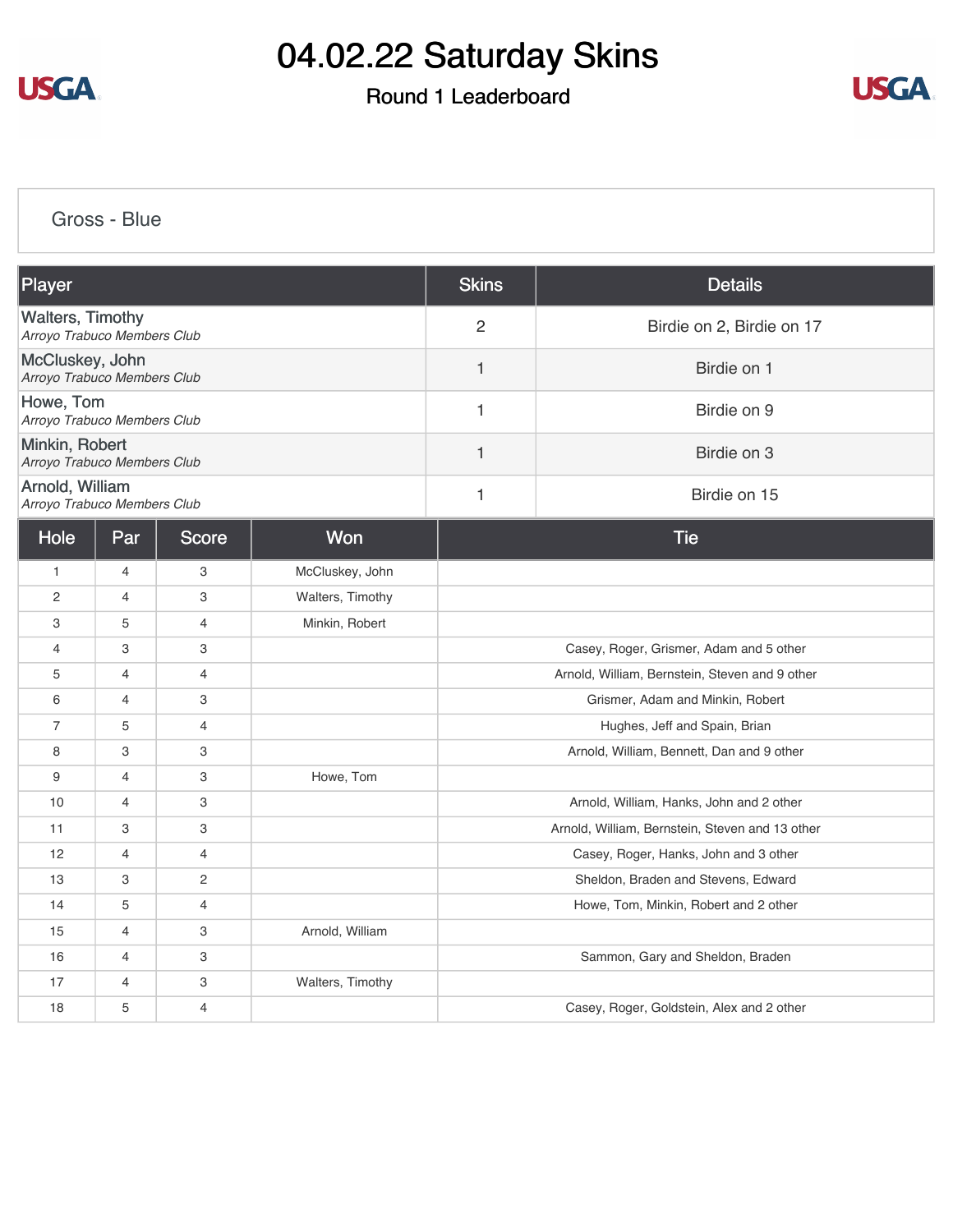

### Round 1 Leaderboard



[Gross - Blue](https://cdn2.golfgenius.com/v2tournaments/8351028670965506179?called_from=&round_index=1)

| Player                                                 |                |                |                  | <b>Skins</b>                              | <b>Details</b>                                  |  |
|--------------------------------------------------------|----------------|----------------|------------------|-------------------------------------------|-------------------------------------------------|--|
| <b>Walters, Timothy</b><br>Arroyo Trabuco Members Club |                |                |                  | 2                                         | Birdie on 2, Birdie on 17                       |  |
| McCluskey, John<br>Arroyo Trabuco Members Club         |                |                |                  | $\mathbf{1}$                              | Birdie on 1                                     |  |
| Howe, Tom<br>Arroyo Trabuco Members Club               |                |                |                  | $\mathbf{1}$                              | Birdie on 9                                     |  |
| Minkin, Robert<br>Arroyo Trabuco Members Club          |                |                |                  | 1                                         | Birdie on 3                                     |  |
| Arnold, William<br>Arroyo Trabuco Members Club         |                |                |                  | 1                                         | Birdie on 15                                    |  |
| Hole                                                   | Par            | <b>Score</b>   | Won              |                                           | <b>Tie</b>                                      |  |
| $\mathbf{1}$                                           | $\overline{4}$ | 3              | McCluskey, John  |                                           |                                                 |  |
| 2                                                      | $\overline{4}$ | 3              | Walters, Timothy |                                           |                                                 |  |
| 3                                                      | 5              | $\overline{4}$ | Minkin, Robert   |                                           |                                                 |  |
| $\overline{4}$                                         | 3              | 3              |                  |                                           | Casey, Roger, Grismer, Adam and 5 other         |  |
| 5                                                      | 4              | $\overline{4}$ |                  |                                           | Arnold, William, Bernstein, Steven and 9 other  |  |
| 6                                                      | $\overline{4}$ | 3              |                  | Grismer, Adam and Minkin, Robert          |                                                 |  |
| $\overline{7}$                                         | 5              | 4              |                  | Hughes, Jeff and Spain, Brian             |                                                 |  |
| 8                                                      | 3              | 3              |                  | Arnold, William, Bennett, Dan and 9 other |                                                 |  |
| 9                                                      | 4              | 3              | Howe, Tom        |                                           |                                                 |  |
| 10                                                     | 4              | 3              |                  |                                           | Arnold, William, Hanks, John and 2 other        |  |
| 11                                                     | 3              | 3              |                  |                                           | Arnold, William, Bernstein, Steven and 13 other |  |
| 12                                                     | $\overline{4}$ | $\overline{4}$ |                  |                                           | Casey, Roger, Hanks, John and 3 other           |  |
| 13                                                     | З              | 2              |                  |                                           | Sheldon, Braden and Stevens, Edward             |  |
| 14                                                     | 5              | $\overline{4}$ |                  |                                           | Howe, Tom, Minkin, Robert and 2 other           |  |
| 15                                                     | 4              | 3              | Arnold, William  |                                           |                                                 |  |
| 16                                                     | $\overline{4}$ | 3              |                  |                                           | Sammon, Gary and Sheldon, Braden                |  |
| 17                                                     | 4              | 3              | Walters, Timothy |                                           |                                                 |  |
| 18                                                     | 5              | $\overline{4}$ |                  |                                           | Casey, Roger, Goldstein, Alex and 2 other       |  |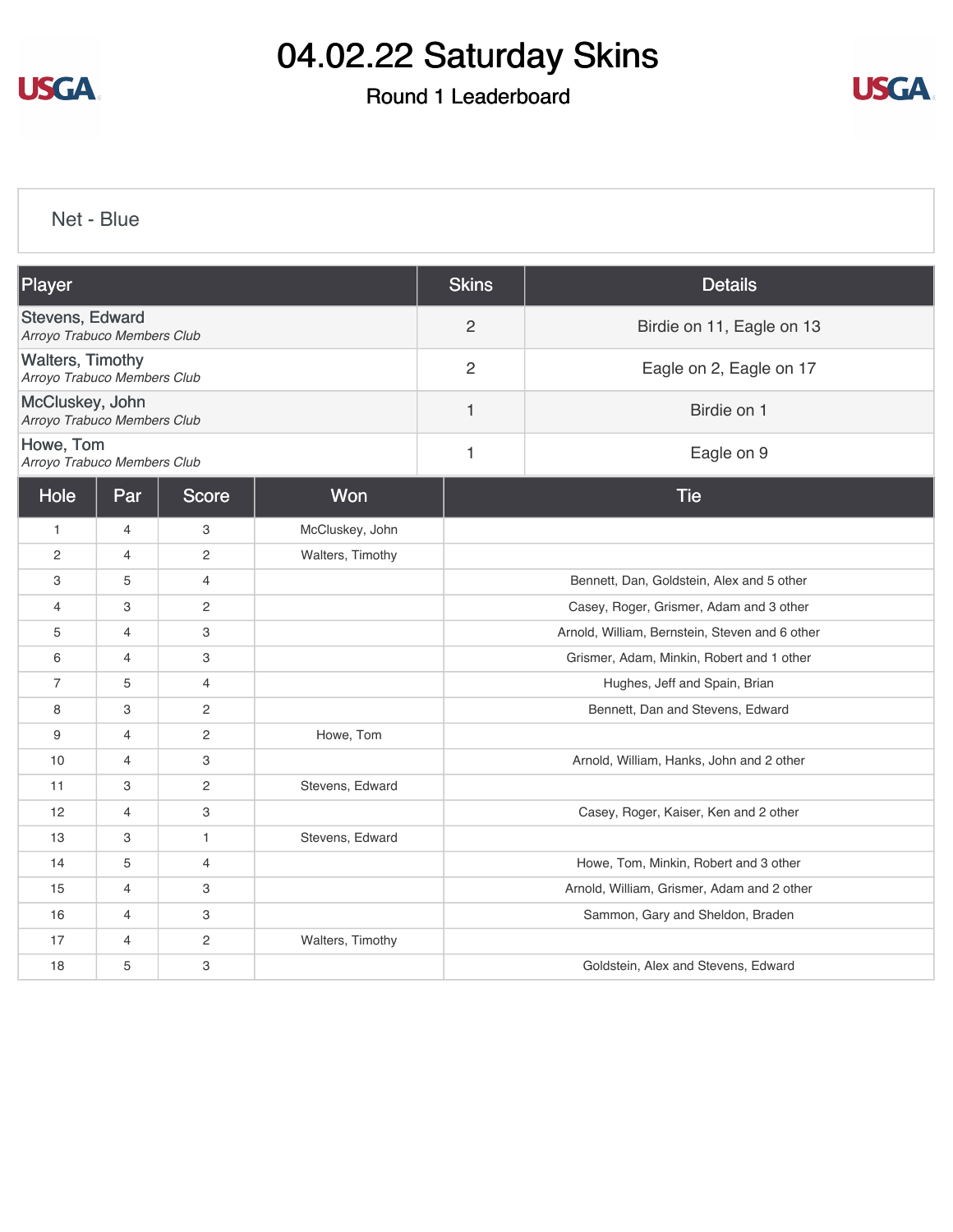

### Round 1 Leaderboard



[Net - Blue](https://cdn2.golfgenius.com/v2tournaments/8351030478307876997?called_from=&round_index=1)

| Player                                                 |                |                |                  | <b>Skins</b>   | <b>Details</b>                                 |  |  |
|--------------------------------------------------------|----------------|----------------|------------------|----------------|------------------------------------------------|--|--|
| Stevens, Edward<br>Arroyo Trabuco Members Club         |                |                |                  | $\overline{2}$ | Birdie on 11, Eagle on 13                      |  |  |
| <b>Walters, Timothy</b><br>Arroyo Trabuco Members Club |                |                |                  | $\overline{2}$ | Eagle on 2, Eagle on 17                        |  |  |
| McCluskey, John<br>Arroyo Trabuco Members Club         |                |                |                  | 1              | Birdie on 1                                    |  |  |
| Howe, Tom<br>Arroyo Trabuco Members Club               |                |                |                  | $\mathbf{1}$   | Eagle on 9                                     |  |  |
| Hole                                                   | Par            | <b>Score</b>   | Won              |                | <b>Tie</b>                                     |  |  |
| $\mathbf{1}$                                           | $\overline{4}$ | 3              | McCluskey, John  |                |                                                |  |  |
| $\mathbf{2}$                                           | 4              | $\overline{c}$ | Walters, Timothy |                |                                                |  |  |
| 3                                                      | 5              | 4              |                  |                | Bennett, Dan, Goldstein, Alex and 5 other      |  |  |
| $\overline{4}$                                         | 3              | $\mathbf{2}$   |                  |                | Casey, Roger, Grismer, Adam and 3 other        |  |  |
| 5                                                      | 4              | 3              |                  |                | Arnold, William, Bernstein, Steven and 6 other |  |  |
| 6                                                      | $\overline{4}$ | 3              |                  |                | Grismer, Adam, Minkin, Robert and 1 other      |  |  |
| $\overline{7}$                                         | 5              | $\overline{4}$ |                  |                | Hughes, Jeff and Spain, Brian                  |  |  |
| 8                                                      | 3              | $\overline{c}$ |                  |                | Bennett, Dan and Stevens, Edward               |  |  |
| 9                                                      | $\overline{4}$ | $\sqrt{2}$     | Howe, Tom        |                |                                                |  |  |
| 10                                                     | $\overline{4}$ | 3              |                  |                | Arnold, William, Hanks, John and 2 other       |  |  |
| 11                                                     | 3              | $\overline{c}$ | Stevens, Edward  |                |                                                |  |  |
| 12                                                     | 4              | 3              |                  |                | Casey, Roger, Kaiser, Ken and 2 other          |  |  |
| 13                                                     | 3              | $\mathbf{1}$   | Stevens, Edward  |                |                                                |  |  |
| 14                                                     | 5              | $\overline{4}$ |                  |                | Howe, Tom, Minkin, Robert and 3 other          |  |  |
| 15                                                     | $\overline{4}$ | 3              |                  |                | Arnold, William, Grismer, Adam and 2 other     |  |  |
| 16                                                     | $\overline{4}$ | 3              |                  |                | Sammon, Gary and Sheldon, Braden               |  |  |
| 17                                                     | 4              | $\mathbf{2}$   | Walters, Timothy |                |                                                |  |  |
| 18                                                     | 5              | 3              |                  |                | Goldstein, Alex and Stevens, Edward            |  |  |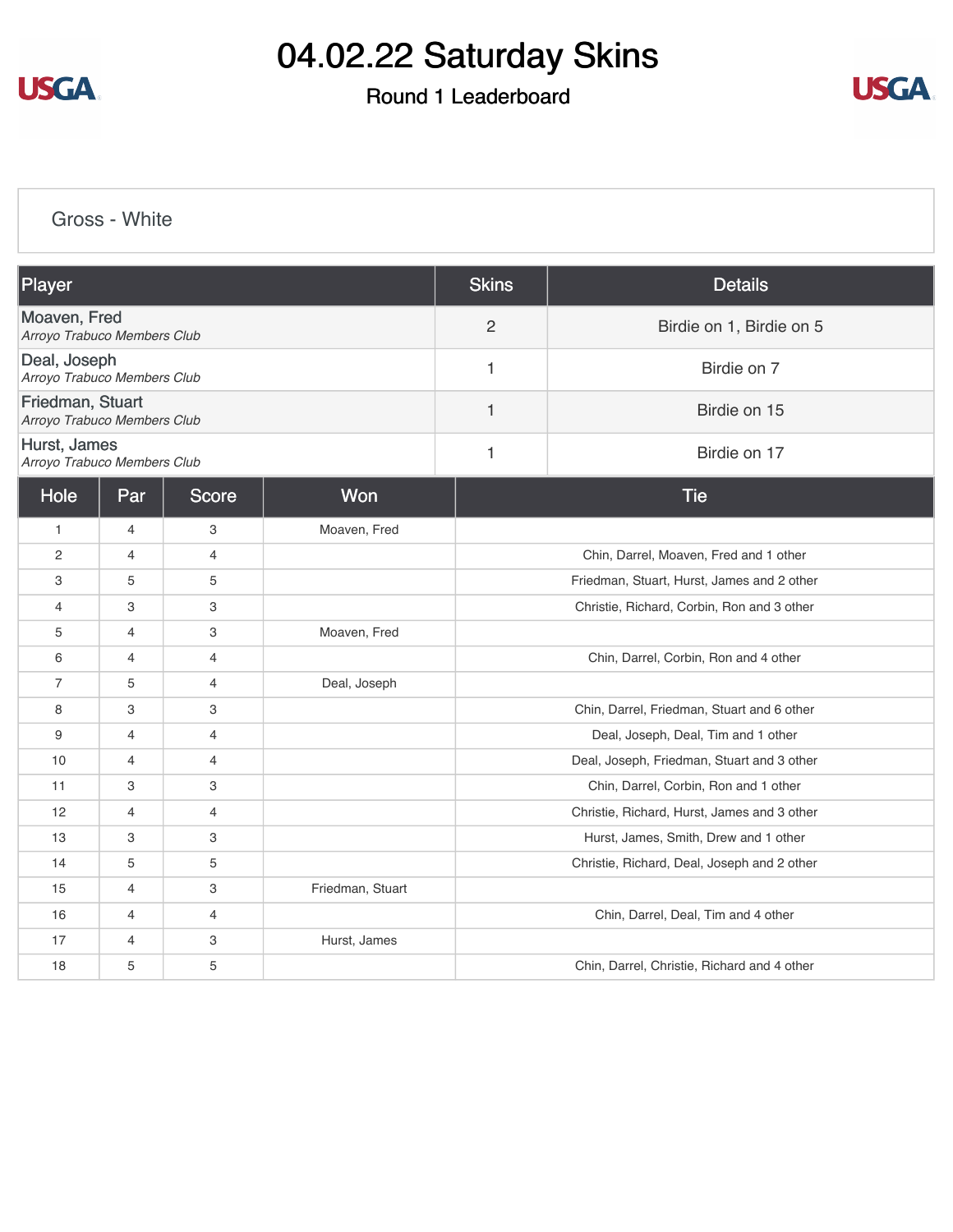

### Round 1 Leaderboard



[Gross - White](https://cdn2.golfgenius.com/v2tournaments/8351031424844849286?called_from=&round_index=1)

| Player                                          |                |                |                  | <b>Skins</b>   | <b>Details</b>                              |  |
|-------------------------------------------------|----------------|----------------|------------------|----------------|---------------------------------------------|--|
| Moaven, Fred<br>Arroyo Trabuco Members Club     |                |                |                  | $\overline{2}$ | Birdie on 1, Birdie on 5                    |  |
| Deal, Joseph<br>Arroyo Trabuco Members Club     |                |                |                  | 1              | Birdie on 7                                 |  |
| Friedman, Stuart<br>Arroyo Trabuco Members Club |                |                |                  | 1              | Birdie on 15                                |  |
| Hurst, James<br>Arroyo Trabuco Members Club     |                |                |                  | 1              | Birdie on 17                                |  |
| Hole                                            | Par            | <b>Score</b>   | Won              |                | <b>Tie</b>                                  |  |
| 1                                               | 4              | 3              | Moaven, Fred     |                |                                             |  |
| $\overline{2}$                                  | $\overline{4}$ | $\overline{4}$ |                  |                | Chin, Darrel, Moaven, Fred and 1 other      |  |
| 3                                               | 5              | 5              |                  |                | Friedman, Stuart, Hurst, James and 2 other  |  |
| 4                                               | 3              | 3              |                  |                | Christie, Richard, Corbin, Ron and 3 other  |  |
| 5                                               | $\overline{4}$ | 3              | Moaven, Fred     |                |                                             |  |
| 6                                               | $\overline{4}$ | 4              |                  |                | Chin, Darrel, Corbin, Ron and 4 other       |  |
| $\overline{7}$                                  | 5              | $\overline{4}$ | Deal, Joseph     |                |                                             |  |
| 8                                               | 3              | 3              |                  |                | Chin, Darrel, Friedman, Stuart and 6 other  |  |
| 9                                               | $\overline{4}$ | $\overline{4}$ |                  |                | Deal, Joseph, Deal, Tim and 1 other         |  |
| 10                                              | $\overline{4}$ | $\overline{4}$ |                  |                | Deal, Joseph, Friedman, Stuart and 3 other  |  |
| 11                                              | $\,3$          | 3              |                  |                | Chin, Darrel, Corbin, Ron and 1 other       |  |
| 12                                              | $\overline{4}$ | $\overline{4}$ |                  |                | Christie, Richard, Hurst, James and 3 other |  |
| 13                                              | 3              | 3              |                  |                | Hurst, James, Smith, Drew and 1 other       |  |
| 14                                              | 5              | 5              |                  |                | Christie, Richard, Deal, Joseph and 2 other |  |
| 15                                              | $\overline{4}$ | 3              | Friedman, Stuart |                |                                             |  |
| 16                                              | $\overline{4}$ | $\overline{4}$ |                  |                | Chin, Darrel, Deal, Tim and 4 other         |  |
| 17                                              | $\overline{4}$ | 3              | Hurst, James     |                |                                             |  |
| 18                                              | 5              | 5              |                  |                | Chin, Darrel, Christie, Richard and 4 other |  |